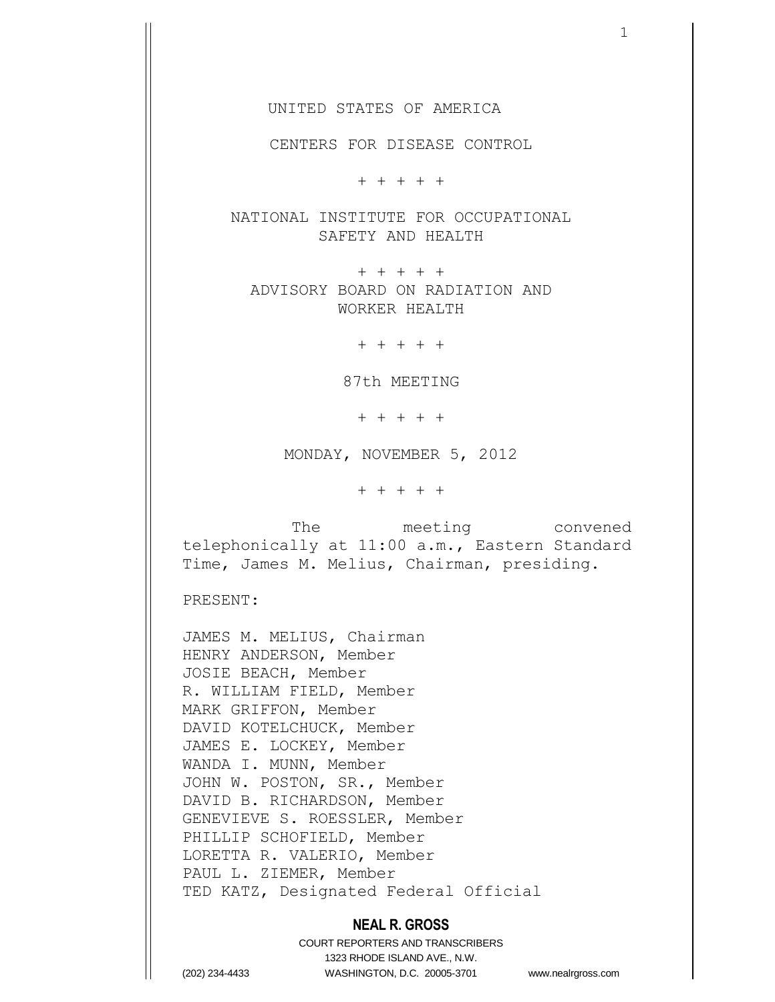UNITED STATES OF AMERICA

CENTERS FOR DISEASE CONTROL

+ + + + +

NATIONAL INSTITUTE FOR OCCUPATIONAL SAFETY AND HEALTH

+ + + + + ADVISORY BOARD ON RADIATION AND WORKER HEALTH

+ + + + +

87th MEETING

+ + + + +

MONDAY, NOVEMBER 5, 2012

+ + + + +

 The meeting convened telephonically at 11:00 a.m., Eastern Standard Time, James M. Melius, Chairman, presiding.

PRESENT:

JAMES M. MELIUS, Chairman HENRY ANDERSON, Member JOSIE BEACH, Member R. WILLIAM FIELD, Member MARK GRIFFON, Member DAVID KOTELCHUCK, Member JAMES E. LOCKEY, Member WANDA I. MUNN, Member JOHN W. POSTON, SR., Member DAVID B. RICHARDSON, Member GENEVIEVE S. ROESSLER, Member PHILLIP SCHOFIELD, Member LORETTA R. VALERIO, Member PAUL L. ZIEMER, Member TED KATZ, Designated Federal Official

#### **NEAL R. GROSS**

COURT REPORTERS AND TRANSCRIBERS 1323 RHODE ISLAND AVE., N.W. (202) 234-4433 WASHINGTON, D.C. 20005-3701 www.nealrgross.com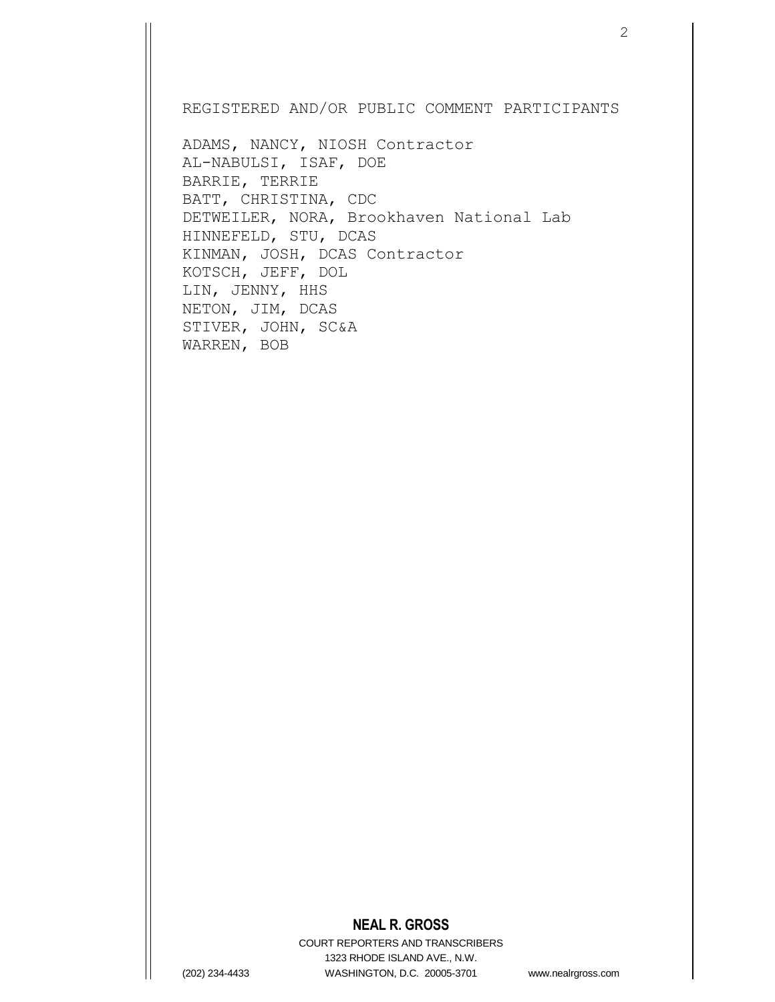REGISTERED AND/OR PUBLIC COMMENT PARTICIPANTS

ADAMS, NANCY, NIOSH Contractor AL-NABULSI, ISAF, DOE BARRIE, TERRIE BATT, CHRISTINA, CDC DETWEILER, NORA, Brookhaven National Lab HINNEFELD, STU, DCAS KINMAN, JOSH, DCAS Contractor KOTSCH, JEFF, DOL LIN, JENNY, HHS NETON, JIM, DCAS STIVER, JOHN, SC&A WARREN, BOB

### **NEAL R. GROSS**

COURT REPORTERS AND TRANSCRIBERS 1323 RHODE ISLAND AVE., N.W. (202) 234-4433 WASHINGTON, D.C. 20005-3701 www.nealrgross.com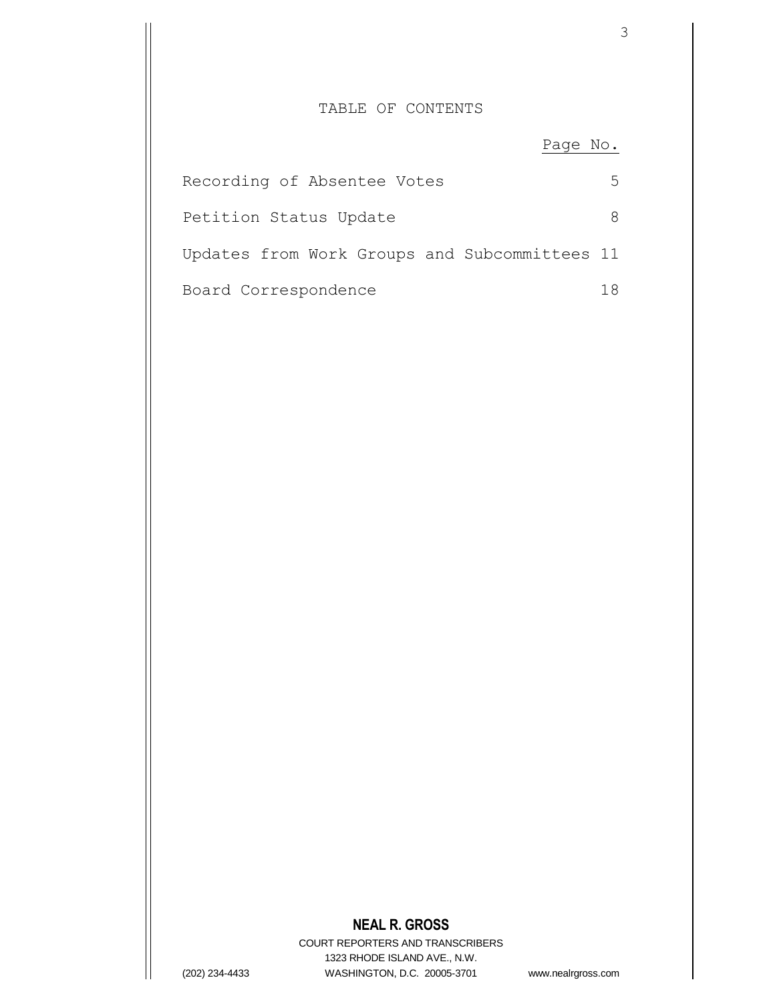## TABLE OF CONTENTS

Page No.

| Recording of Absentee Votes                   | ∽ |
|-----------------------------------------------|---|
| Petition Status Update                        |   |
| Updates from Work Groups and Subcommittees 11 |   |
| Board Correspondence                          |   |

# **NEAL R. GROSS**

COURT REPORTERS AND TRANSCRIBERS 1323 RHODE ISLAND AVE., N.W. (202) 234-4433 WASHINGTON, D.C. 20005-3701 www.nealrgross.com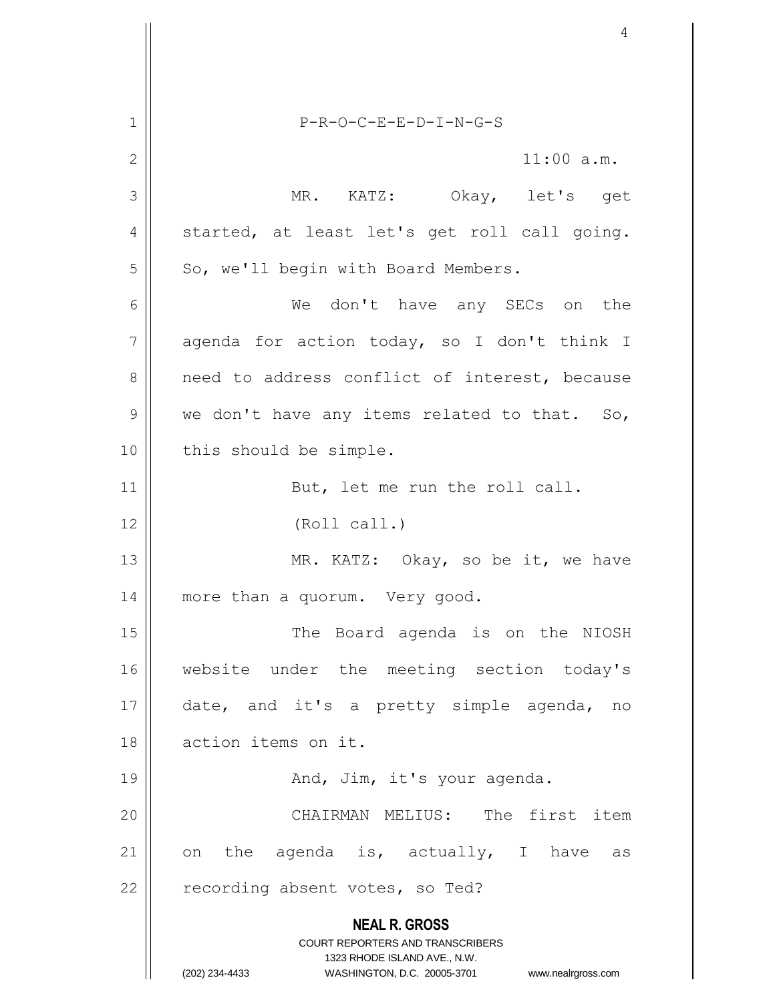**NEAL R. GROSS** COURT REPORTERS AND TRANSCRIBERS 1323 RHODE ISLAND AVE., N.W. (202) 234-4433 WASHINGTON, D.C. 20005-3701 www.nealrgross.com 1 P-R-O-C-E-E-D-I-N-G-S 2  $\parallel$  11:00 a.m. 3 MR. KATZ: Okay, let's get  $4 \parallel$  started, at least let's get roll call going.  $5 \parallel$  So, we'll begin with Board Members. 6 We don't have any SECs on the  $7 \parallel$  agenda for action today, so I don't think I  $8$  need to address conflict of interest, because  $9 \parallel$  we don't have any items related to that. So, 10 || this should be simple. 11 || But, let me run the roll call. 12 || (Roll call.) 13 || MR. KATZ: Okay, so be it, we have 14 | more than a quorum. Very good. 15 || The Board agenda is on the NIOSH 16 website under the meeting section today's 17 date, and it's a pretty simple agenda, no 18 action items on it. 19 And, Jim, it's your agenda. 20 CHAIRMAN MELIUS: The first item 21 || on the agenda is, actually, I have as 22  $\parallel$  recording absent votes, so Ted?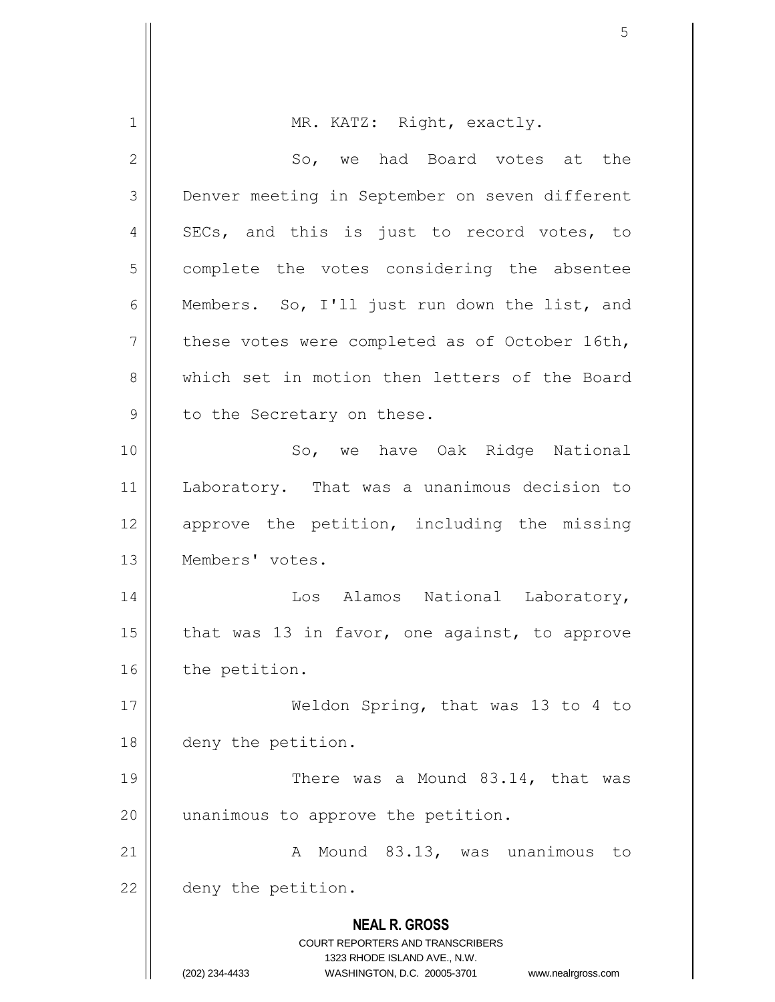|              | 5                                                                                        |
|--------------|------------------------------------------------------------------------------------------|
|              |                                                                                          |
| $\mathbf 1$  | MR. KATZ: Right, exactly.                                                                |
| $\mathbf{2}$ | So, we had Board votes at the                                                            |
| 3            | Denver meeting in September on seven different                                           |
| 4            | SECs, and this is just to record votes, to                                               |
| 5            | complete the votes considering the absentee                                              |
| 6            | Members. So, I'll just run down the list, and                                            |
| 7            | these votes were completed as of October 16th,                                           |
| 8            | which set in motion then letters of the Board                                            |
| 9            | to the Secretary on these.                                                               |
| 10           | So, we have Oak Ridge National                                                           |
| 11           | Laboratory. That was a unanimous decision to                                             |
| 12           | approve the petition, including the missing                                              |
| 13           | Members' votes.                                                                          |
| 14           | Alamos National<br>Los<br>Laboratory,                                                    |
| 15           | that was 13 in favor, one against, to approve                                            |
| 16           | the petition.                                                                            |
| 17           | Weldon Spring, that was 13 to 4 to                                                       |
| 18           | deny the petition.                                                                       |
| 19           | There was a Mound 83.14, that was                                                        |
| 20           | unanimous to approve the petition.                                                       |
| 21           | A Mound 83.13, was unanimous<br>to                                                       |
| 22           | deny the petition.                                                                       |
|              | <b>NEAL R. GROSS</b><br>COURT REPORTERS AND TRANSCRIBERS<br>1323 RHODE ISLAND AVE., N.W. |
|              | (202) 234-4433<br>WASHINGTON, D.C. 20005-3701<br>www.nealrgross.com                      |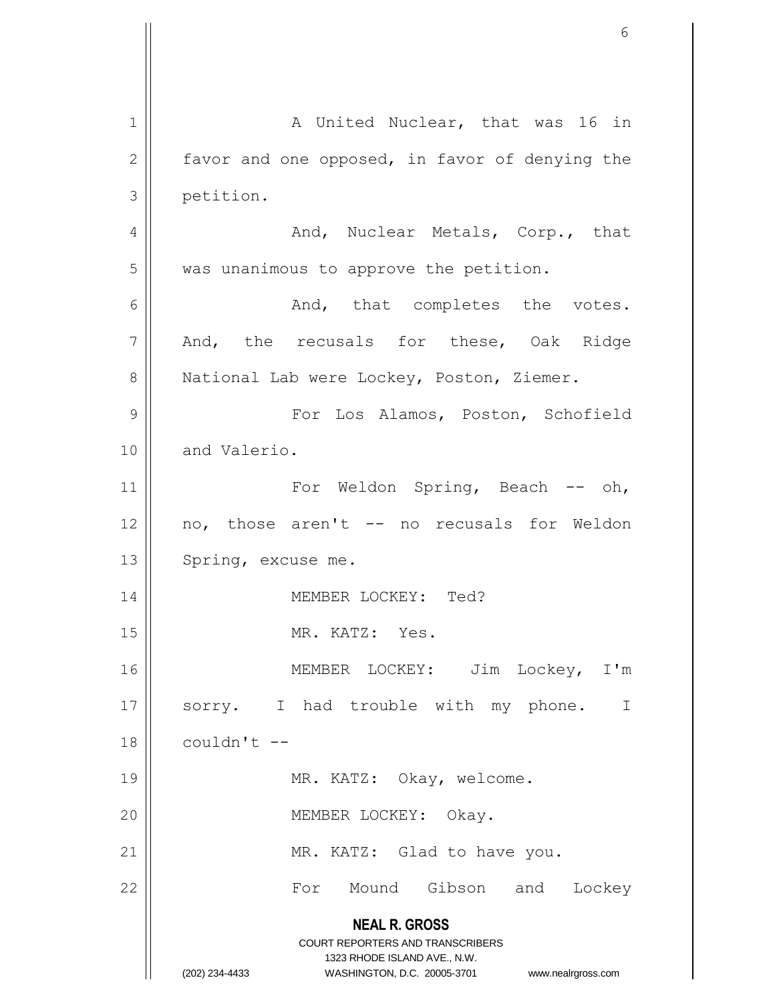**NEAL R. GROSS** COURT REPORTERS AND TRANSCRIBERS 1323 RHODE ISLAND AVE., N.W. (202) 234-4433 WASHINGTON, D.C. 20005-3701 www.nealrgross.com 1 || A United Nuclear, that was 16 in  $2 \parallel$  favor and one opposed, in favor of denying the 3 | petition. 4 And, Nuclear Metals, Corp., that  $5$  | was unanimous to approve the petition.  $6 \parallel$  And, that completes the votes.  $7 \parallel$  And, the recusals for these, Oak Ridge 8 | National Lab were Lockey, Poston, Ziemer. 9 For Los Alamos, Poston, Schofield 10 and Valerio. 11 || For Weldon Spring, Beach -- oh, 12 || no, those aren't -- no recusals for Weldon 13 | Spring, excuse me. 14 MEMBER LOCKEY: Ted? 15 || MR. KATZ: Yes. 16 MEMBER LOCKEY: Jim Lockey, I'm 17 || sorry. I had trouble with my phone. I  $18$  | couldn't  $-$ 19 || MR. KATZ: Okay, welcome. 20 || MEMBER LOCKEY: Okay. 21 | MR. KATZ: Glad to have you. 22 For Mound Gibson and Lockey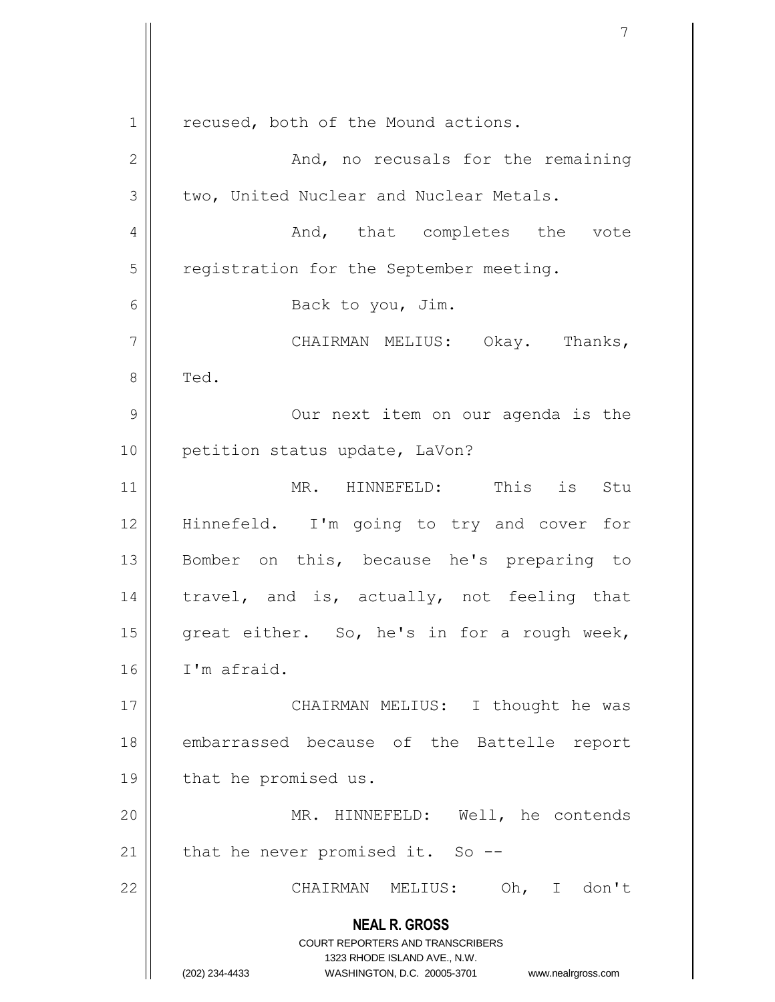**NEAL R. GROSS** COURT REPORTERS AND TRANSCRIBERS 1323 RHODE ISLAND AVE., N.W. (202) 234-4433 WASHINGTON, D.C. 20005-3701 www.nealrgross.com 1 || recused, both of the Mound actions. 2 And, no recusals for the remaining  $3 \parallel$  two, United Nuclear and Nuclear Metals. 4 And, that completes the vote 5 | registration for the September meeting. 6 || Back to you, Jim. 7 CHAIRMAN MELIUS: Okay. Thanks,  $8 \parallel$  Ted. 9 || Our next item on our agenda is the 10 | petition status update, LaVon? 11 MR. HINNEFELD: This is Stu 12 Hinnefeld. I'm going to try and cover for 13 || Bomber on this, because he's preparing to 14 || travel, and is, actually, not feeling that 15 | great either. So, he's in for a rough week, 16 I'm afraid. 17 || CHAIRMAN MELIUS: I thought he was 18 || embarrassed because of the Battelle report 19 | that he promised us. 20 || MR. HINNEFELD: Well, he contends 21  $\parallel$  that he never promised it. So --22 CHAIRMAN MELIUS: Oh, I don't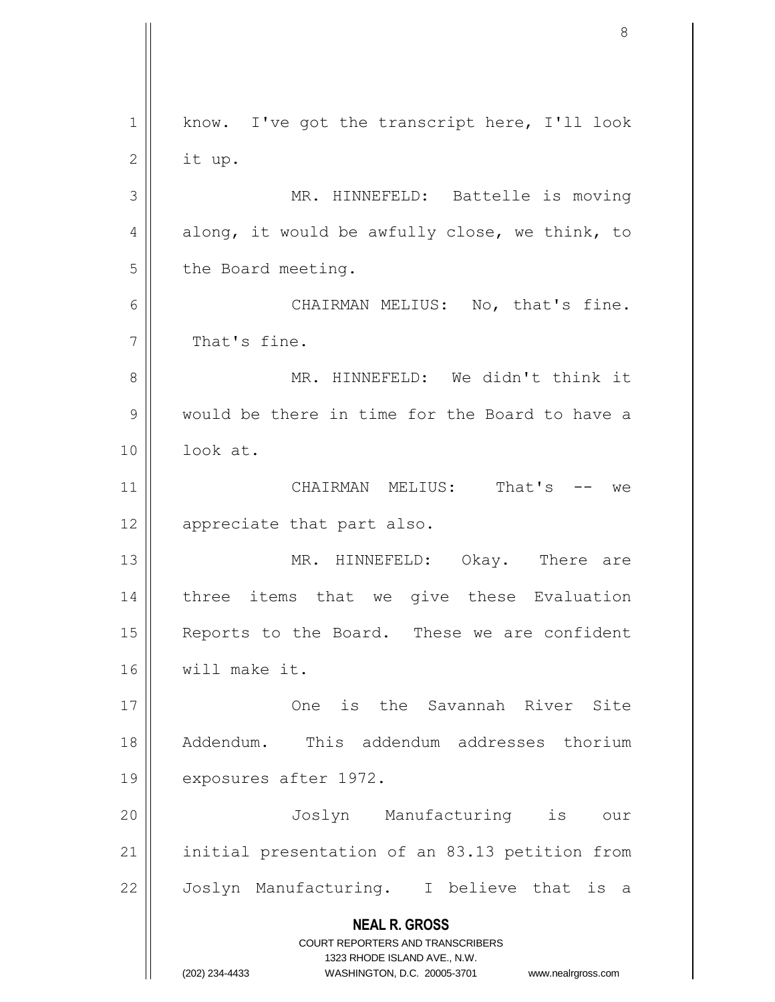**NEAL R. GROSS** COURT REPORTERS AND TRANSCRIBERS 1323 RHODE ISLAND AVE., N.W. (202) 234-4433 WASHINGTON, D.C. 20005-3701 www.nealrgross.com 1 || know. I've got the transcript here, I'll look  $2 \parallel$  it up. 3 || MR. HINNEFELD: Battelle is moving 4 along, it would be awfully close, we think, to  $5 \parallel$  the Board meeting. 6 CHAIRMAN MELIUS: No, that's fine.  $7 \parallel$  That's fine. 8 MR. HINNEFELD: We didn't think it 9 would be there in time for the Board to have a 10 look at. 11 CHAIRMAN MELIUS: That's -- we 12 || appreciate that part also. 13 MR. HINNEFELD: Okay. There are 14 || three items that we give these Evaluation 15 || Reports to the Board. These we are confident 16 will make it. 17 One is the Savannah River Site 18 Addendum. This addendum addresses thorium 19 | exposures after 1972. 20 Joslyn Manufacturing is our 21 || initial presentation of an 83.13 petition from 22 || Joslyn Manufacturing. I believe that is a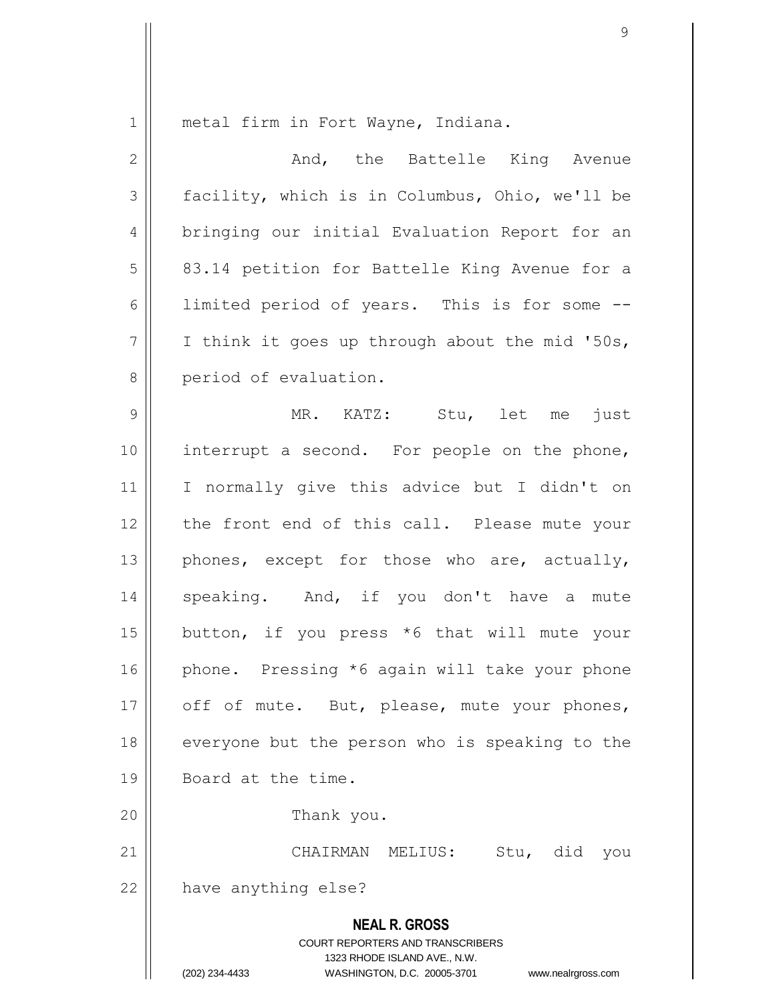1 metal firm in Fort Wayne, Indiana.

| $\mathbf{2}$   | And, the Battelle King Avenue                                                                                                                                          |
|----------------|------------------------------------------------------------------------------------------------------------------------------------------------------------------------|
| 3              | facility, which is in Columbus, Ohio, we'll be                                                                                                                         |
| $\overline{4}$ | bringing our initial Evaluation Report for an                                                                                                                          |
| 5              | 83.14 petition for Battelle King Avenue for a                                                                                                                          |
| 6              | limited period of years. This is for some --                                                                                                                           |
| 7              | I think it goes up through about the mid '50s,                                                                                                                         |
| $8\,$          | period of evaluation.                                                                                                                                                  |
| $\mathcal{G}$  | MR. KATZ: Stu, let me<br>just                                                                                                                                          |
| 10             | interrupt a second. For people on the phone,                                                                                                                           |
| 11             | I normally give this advice but I didn't on                                                                                                                            |
| 12             | the front end of this call. Please mute your                                                                                                                           |
| 13             | phones, except for those who are, actually,                                                                                                                            |
| 14             | speaking. And, if you don't have a<br>mute                                                                                                                             |
| 15             | button, if you press *6 that will mute your                                                                                                                            |
| 16             | phone. Pressing *6 again will take your phone                                                                                                                          |
| 17             | off of mute. But, please, mute your phones,                                                                                                                            |
| 18             | everyone but the person who is speaking to the                                                                                                                         |
| 19             | Board at the time.                                                                                                                                                     |
| 20             | Thank you.                                                                                                                                                             |
| 21             | CHAIRMAN<br>Stu, did<br>MELIUS:<br>you                                                                                                                                 |
| 22             | have anything else?                                                                                                                                                    |
|                | <b>NEAL R. GROSS</b><br><b>COURT REPORTERS AND TRANSCRIBERS</b><br>1323 RHODE ISLAND AVE., N.W.<br>(202) 234-4433<br>WASHINGTON, D.C. 20005-3701<br>www.nealrgross.com |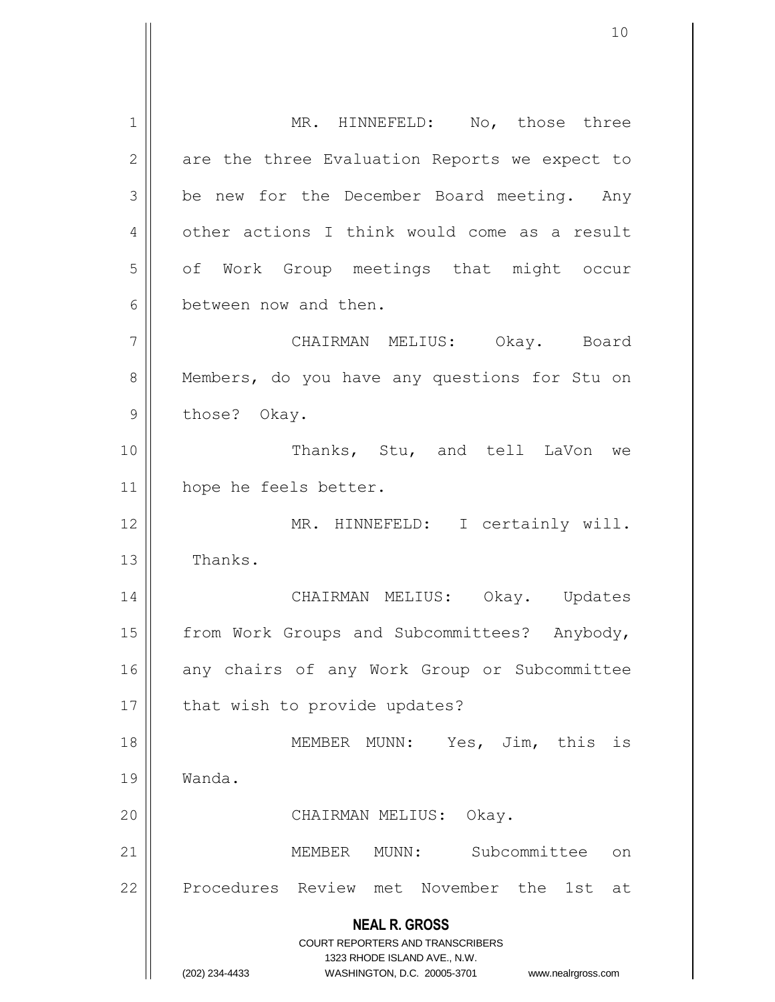**NEAL R. GROSS** COURT REPORTERS AND TRANSCRIBERS 1323 RHODE ISLAND AVE., N.W. (202) 234-4433 WASHINGTON, D.C. 20005-3701 www.nealrgross.com 1 || MR. HINNEFELD: No, those three  $2 \parallel$  are the three Evaluation Reports we expect to  $3 \parallel$  be new for the December Board meeting. Any 4 | other actions I think would come as a result 5 | of Work Group meetings that might occur 6 between now and then. 7 CHAIRMAN MELIUS: Okay. Board 8 | Members, do you have any questions for Stu on  $9$  || those? Okay. 10 || Thanks, Stu, and tell LaVon we 11 hope he feels better. 12 MR. HINNEFELD: I certainly will. 13 | Thanks. 14 CHAIRMAN MELIUS: Okay. Updates 15 | from Work Groups and Subcommittees? Anybody, 16 any chairs of any Work Group or Subcommittee  $17$  | that wish to provide updates? 18 MEMBER MUNN: Yes, Jim, this is 19 Wanda. 20 || CHAIRMAN MELIUS: Okay. 21 || MEMBER MUNN: Subcommittee on 22 || Procedures Review met November the 1st at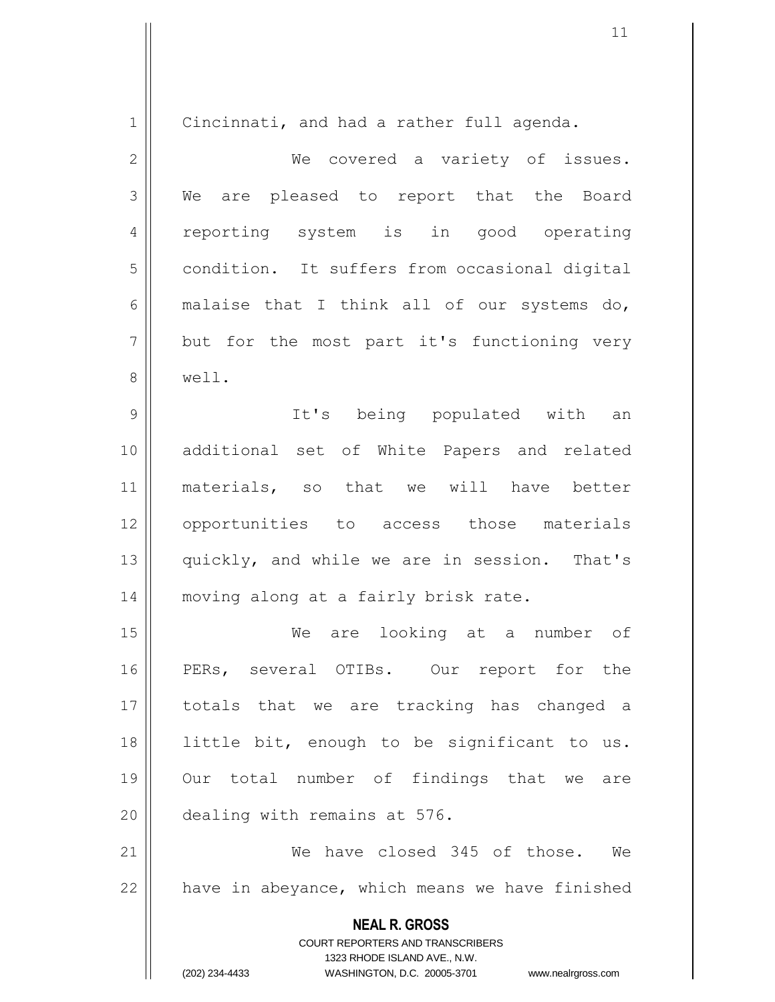| $\mathbf 1$    | Cincinnati, and had a rather full agenda.                                                       |
|----------------|-------------------------------------------------------------------------------------------------|
| $\mathbf{2}$   | We covered a variety of issues.                                                                 |
| 3              | We are pleased to report that the Board                                                         |
| $\overline{4}$ | reporting system is in good operating                                                           |
| 5              | condition. It suffers from occasional digital                                                   |
| 6              | malaise that I think all of our systems do,                                                     |
| $\overline{7}$ | but for the most part it's functioning very                                                     |
| 8              | well.                                                                                           |
| 9              | It's being populated with an                                                                    |
| 10             | additional set of White Papers and related                                                      |
| 11             | materials, so that we will have better                                                          |
| 12             | opportunities to access those materials                                                         |
| 13             | quickly, and while we are in session. That's                                                    |
| 14             | moving along at a fairly brisk rate.                                                            |
| 15             | are looking at a number of<br>We                                                                |
| 16             | PERs, several OTIBs. Our report for the                                                         |
| 17             | totals that we are tracking has changed a                                                       |
| 18             | little bit, enough to be significant to us.                                                     |
| 19             | Our total number of findings that we are                                                        |
| 20             | dealing with remains at 576.                                                                    |
| 21             | We have closed 345 of those. We                                                                 |
| 22             | have in abeyance, which means we have finished                                                  |
|                | <b>NEAL R. GROSS</b><br><b>COURT REPORTERS AND TRANSCRIBERS</b><br>1323 RHODE ISLAND AVE., N.W. |
|                | (202) 234-4433<br>WASHINGTON, D.C. 20005-3701 www.nealrgross.com                                |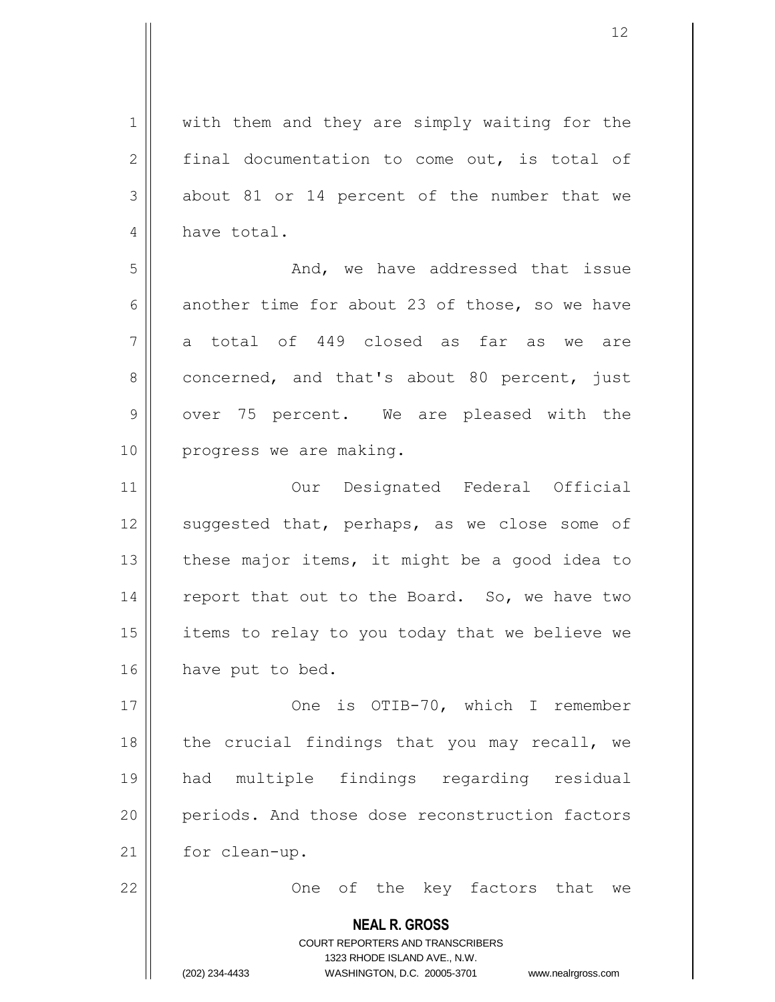**NEAL R. GROSS** COURT REPORTERS AND TRANSCRIBERS 1323 RHODE ISLAND AVE., N.W. 1 || with them and they are simply waiting for the 2  $\parallel$  final documentation to come out, is total of  $3 \parallel$  about 81 or 14 percent of the number that we 4 have total. 5 And, we have addressed that issue 6 another time for about 23 of those, so we have 7 a total of 449 closed as far as we are  $8 \parallel$  concerned, and that's about 80 percent, just 9 || over 75 percent. We are pleased with the 10 || progress we are making. 11 Our Designated Federal Official 12 || suggested that, perhaps, as we close some of 13  $\parallel$  these major items, it might be a good idea to 14  $\parallel$  report that out to the Board. So, we have two 15  $\parallel$  items to relay to you today that we believe we 16 | have put to bed. 17 || Che is OTIB-70, which I remember 18  $\parallel$  the crucial findings that you may recall, we 19 had multiple findings regarding residual 20 | periods. And those dose reconstruction factors 21 | for clean-up. 22 || Che of the key factors that we

(202) 234-4433 WASHINGTON, D.C. 20005-3701 www.nealrgross.com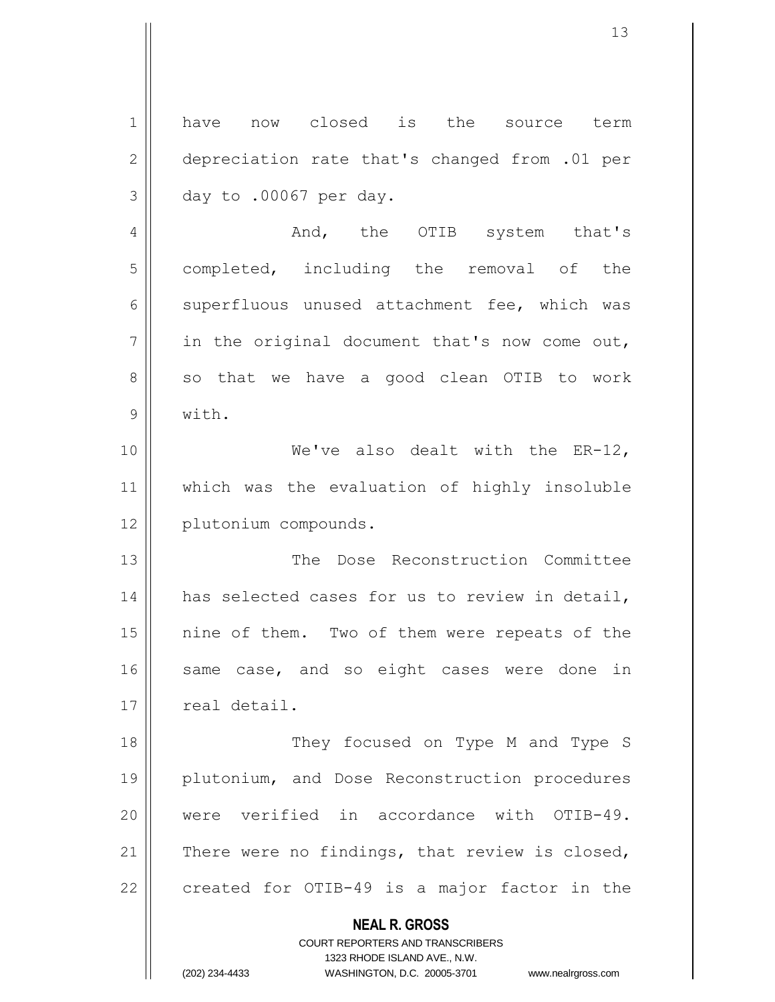| $\mathbf 1$  | now closed is the source<br>have<br>term                                                            |
|--------------|-----------------------------------------------------------------------------------------------------|
| $\mathbf{2}$ | depreciation rate that's changed from .01 per                                                       |
| 3            | day to .00067 per day.                                                                              |
| 4            | And, the OTIB system that's                                                                         |
| 5            | completed, including the removal of the                                                             |
| 6            | superfluous unused attachment fee, which was                                                        |
| 7            | in the original document that's now come out,                                                       |
| 8            | so that we have a good clean OTIB to work                                                           |
| 9            | with.                                                                                               |
| 10           | We've also dealt with the $ER-12$ ,                                                                 |
| 11           | which was the evaluation of highly insoluble                                                        |
| 12           | plutonium compounds.                                                                                |
| 13           | The Dose Reconstruction Committee                                                                   |
| 14           | has selected cases for us to review in detail,                                                      |
| 15           | nine of them. Two of them were repeats of the                                                       |
| 16           | same case, and so eight cases were done in                                                          |
| 17           | real detail.                                                                                        |
| 18           | They focused on Type M and Type S                                                                   |
| 19           | plutonium, and Dose Reconstruction procedures                                                       |
| 20           | were verified in accordance with OTIB-49.                                                           |
| 21           | There were no findings, that review is closed,                                                      |
| 22           | created for OTIB-49 is a major factor in the                                                        |
|              | <b>NEAL R. GROSS</b>                                                                                |
|              | <b>COURT REPORTERS AND TRANSCRIBERS</b>                                                             |
|              | 1323 RHODE ISLAND AVE., N.W.<br>(202) 234-4433<br>WASHINGTON, D.C. 20005-3701<br>www.nealrgross.com |

 $\mathsf{I}$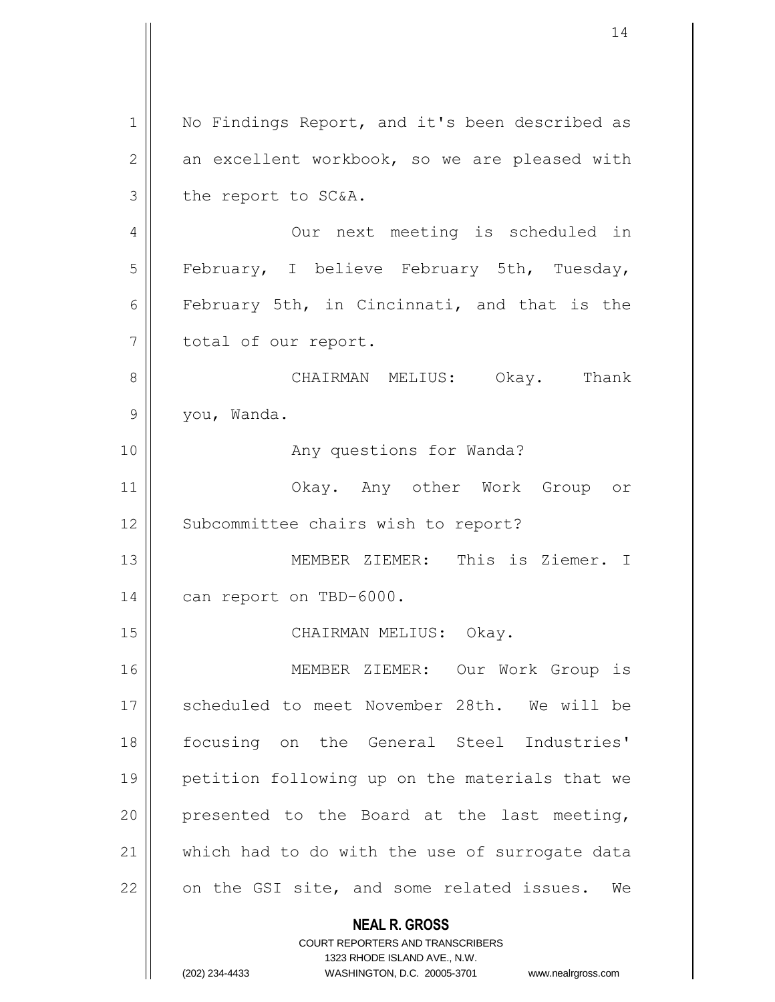**NEAL R. GROSS** COURT REPORTERS AND TRANSCRIBERS 1323 RHODE ISLAND AVE., N.W. (202) 234-4433 WASHINGTON, D.C. 20005-3701 www.nealrgross.com 1 | No Findings Report, and it's been described as  $2 \parallel$  an excellent workbook, so we are pleased with  $3$  | the report to SC&A. 4 || Our next meeting is scheduled in 5 || February, I believe February 5th, Tuesday, 6 February 5th, in Cincinnati, and that is the 7 | total of our report. 8 CHAIRMAN MELIUS: Okay. Thank 9 you, Wanda. 10 || Any questions for Wanda? 11 Okay. Any other Work Group or 12 | Subcommittee chairs wish to report? 13 MEMBER ZIEMER: This is Ziemer. I 14 | can report on TBD-6000. 15 || CHAIRMAN MELIUS: Okay. 16 MEMBER ZIEMER: Our Work Group is 17 || scheduled to meet November 28th. We will be 18 focusing on the General Steel Industries' 19 petition following up on the materials that we 20 || presented to the Board at the last meeting, 21 || which had to do with the use of surrogate data  $22$  | on the GSI site, and some related issues. We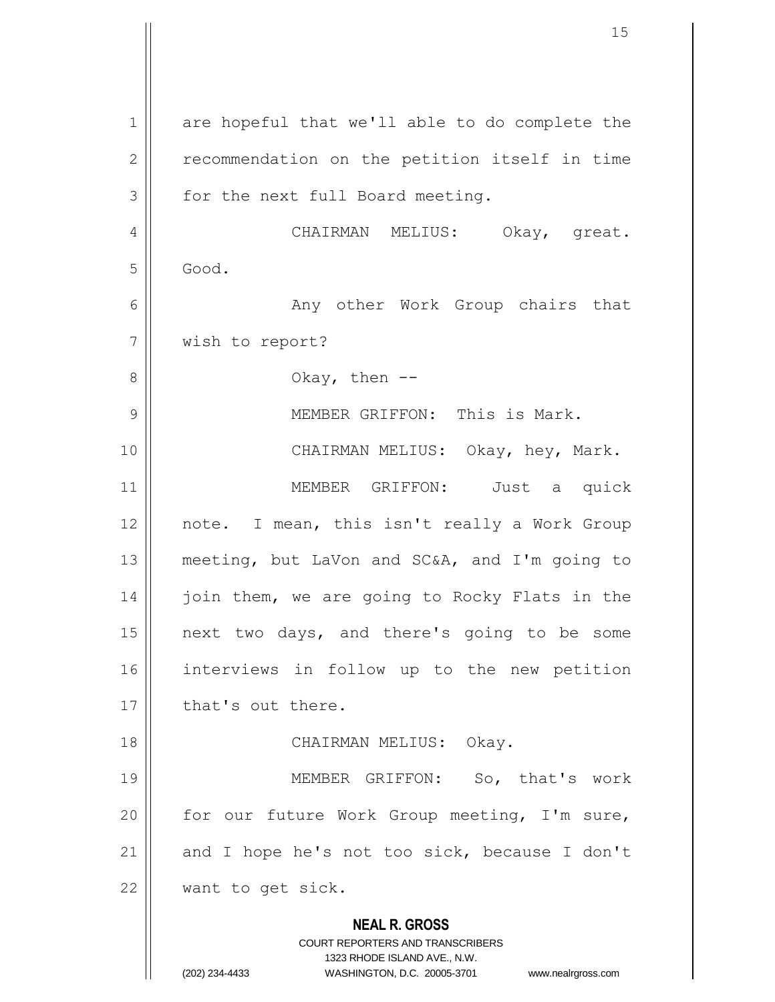**NEAL R. GROSS** COURT REPORTERS AND TRANSCRIBERS 1323 RHODE ISLAND AVE., N.W. (202) 234-4433 WASHINGTON, D.C. 20005-3701 www.nealrgross.com 1 are hopeful that we'll able to do complete the 2 | recommendation on the petition itself in time  $3 \parallel$  for the next full Board meeting. 4 | CHAIRMAN MELIUS: Okay, great.  $5 \parallel$  Good. 6 Any other Work Group chairs that 7 | wish to report?  $8 \parallel$  Okay, then  $-$ 9 || MEMBER GRIFFON: This is Mark. 10 CHAIRMAN MELIUS: Okay, hey, Mark. 11 || MEMBER GRIFFON: Just a quick 12 || note. I mean, this isn't really a Work Group 13 meeting, but LaVon and SC&A, and I'm going to 14 | join them, we are going to Rocky Flats in the 15 next two days, and there's going to be some 16 interviews in follow up to the new petition 17 || that's out there. 18 CHAIRMAN MELIUS: Okay. 19 MEMBER GRIFFON: So, that's work 20  $\parallel$  for our future Work Group meeting, I'm sure, 21  $\parallel$  and I hope he's not too sick, because I don't 22 || want to get sick.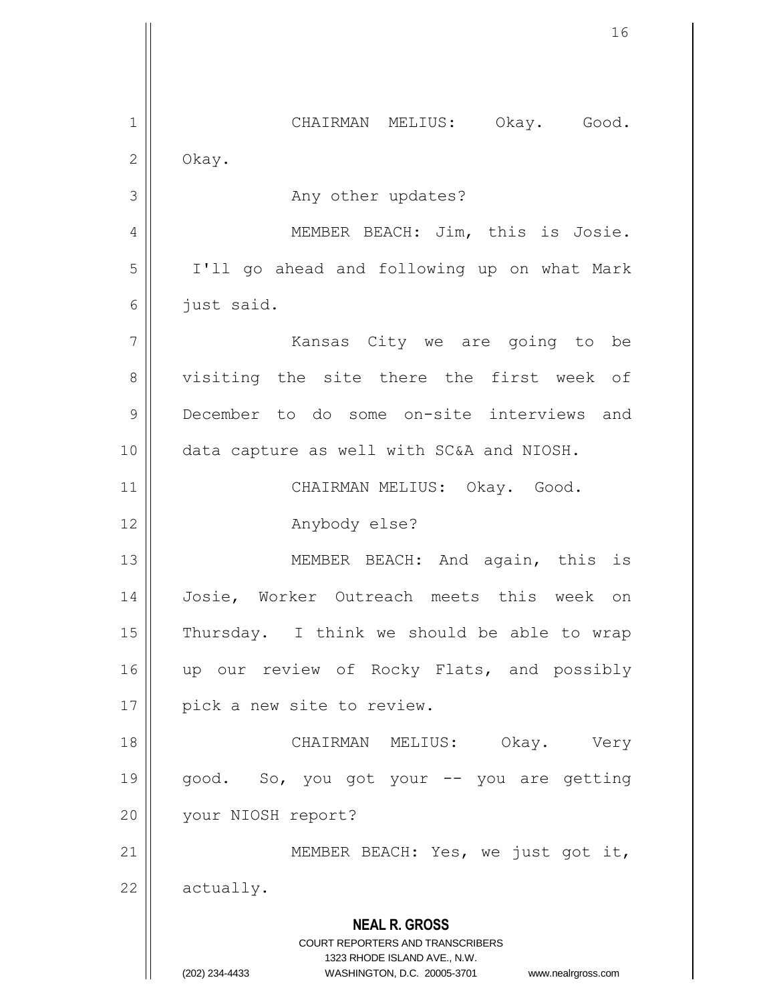**NEAL R. GROSS** COURT REPORTERS AND TRANSCRIBERS 1323 RHODE ISLAND AVE., N.W. (202) 234-4433 WASHINGTON, D.C. 20005-3701 www.nealrgross.com 1 || CHAIRMAN MELIUS: Okay. Good.  $2 \parallel$  Okay. 3 | Rany other updates? 4 || MEMBER BEACH: Jim, this is Josie. 5 I'll go ahead and following up on what Mark  $6 \parallel$  just said. 7 Kansas City we are going to be 8 visiting the site there the first week of 9 December to do some on-site interviews and 10 data capture as well with SC&A and NIOSH. 11 || CHAIRMAN MELIUS: Okay. Good. 12 | Anybody else? 13 || MEMBER BEACH: And again, this is 14 Josie, Worker Outreach meets this week on 15  $\parallel$  Thursday. I think we should be able to wrap 16 || up our review of Rocky Flats, and possibly 17 || pick a new site to review. 18 CHAIRMAN MELIUS: Okay. Very 19 || good. So, you got your -- you are getting 20 | your NIOSH report? 21 || MEMBER BEACH: Yes, we just got it,  $22$  |  $\alpha$ ctually.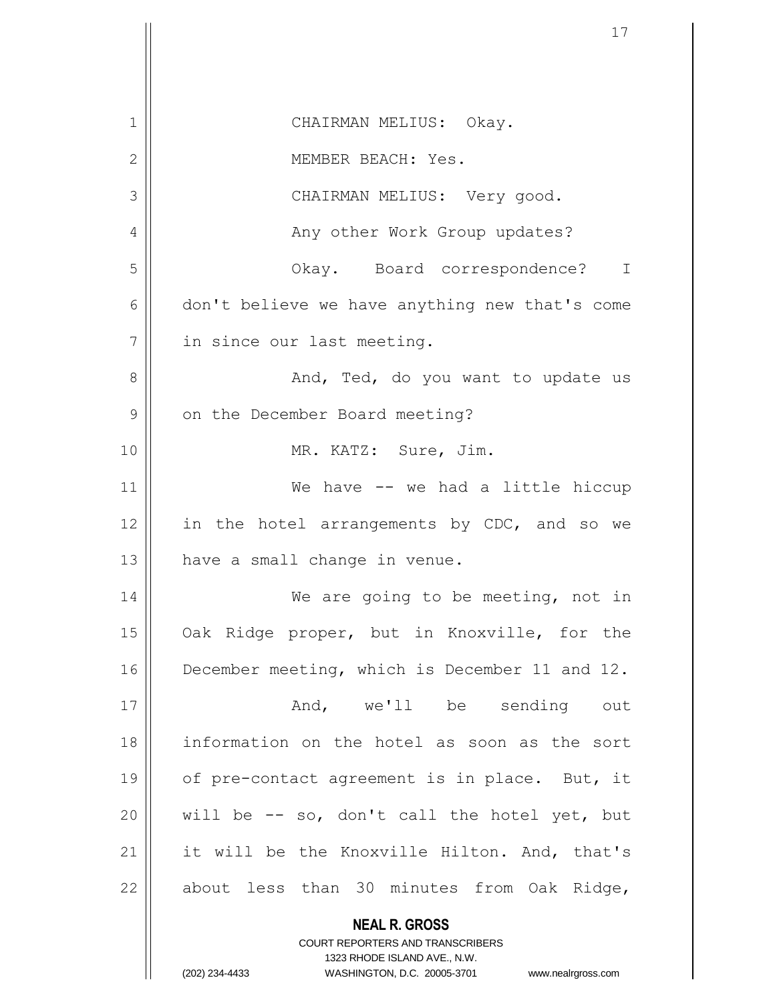| 1  | CHAIRMAN MELIUS: Okay.                                                                          |
|----|-------------------------------------------------------------------------------------------------|
| 2  | MEMBER BEACH: Yes.                                                                              |
| 3  | CHAIRMAN MELIUS: Very good.                                                                     |
| 4  | Any other Work Group updates?                                                                   |
| 5  | Okay. Board correspondence? I                                                                   |
| 6  | don't believe we have anything new that's come                                                  |
| 7  | in since our last meeting.                                                                      |
| 8  | And, Ted, do you want to update us                                                              |
| 9  | on the December Board meeting?                                                                  |
| 10 | MR. KATZ: Sure, Jim.                                                                            |
| 11 | We have -- we had a little hiccup                                                               |
| 12 | in the hotel arrangements by CDC, and so we                                                     |
| 13 | have a small change in venue.                                                                   |
| 14 | We are going to be meeting, not in                                                              |
| 15 | Oak Ridge proper, but in Knoxville, for the                                                     |
| 16 | December meeting, which is December 11 and 12.                                                  |
| 17 | And, we'll be sending out                                                                       |
| 18 | information on the hotel as soon as the sort                                                    |
| 19 | of pre-contact agreement is in place. But, it                                                   |
| 20 | will be -- so, don't call the hotel yet, but                                                    |
| 21 | it will be the Knoxville Hilton. And, that's                                                    |
| 22 | about less than 30 minutes from Oak Ridge,                                                      |
|    | <b>NEAL R. GROSS</b><br><b>COURT REPORTERS AND TRANSCRIBERS</b><br>1323 RHODE ISLAND AVE., N.W. |
|    | (202) 234-4433<br>WASHINGTON, D.C. 20005-3701<br>www.nealrgross.com                             |

 $\overline{\phantom{a}}$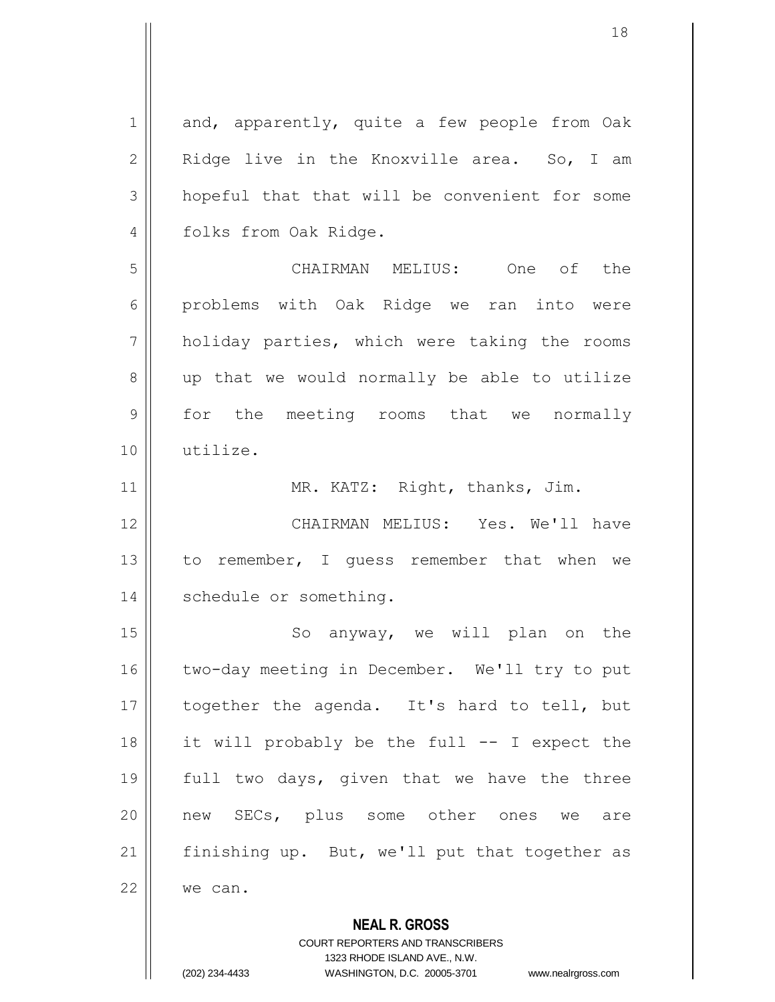| $\mathbf 1$    | and, apparently, quite a few people from Oak  |
|----------------|-----------------------------------------------|
| $\mathbf{2}$   | Ridge live in the Knoxville area. So, I am    |
| 3              | hopeful that that will be convenient for some |
| 4              | folks from Oak Ridge.                         |
| 5              | CHAIRMAN MELIUS: One of the                   |
| 6              | problems with Oak Ridge we ran into were      |
| $\overline{7}$ | holiday parties, which were taking the rooms  |
| 8              | up that we would normally be able to utilize  |
| 9              | for the meeting rooms that we normally        |
| 10             | utilize.                                      |
| 11             | MR. KATZ: Right, thanks, Jim.                 |
| 12             | CHAIRMAN MELIUS: Yes. We'll have              |
| 13             | to remember, I guess remember that when we    |
| 14             | schedule or something.                        |
| 15             | anyway, we will plan on the<br>So             |
| 16             | two-day meeting in December. We'll try to put |
| 17             | together the agenda. It's hard to tell, but   |
| 18             | it will probably be the full -- I expect the  |
| 19             | full two days, given that we have the three   |
| 20             | new SECs, plus some other ones we<br>are      |
| 21             | finishing up. But, we'll put that together as |
| 22             | we can.                                       |
|                | <b>NEAL R. GROSS</b>                          |

1323 RHODE ISLAND AVE., N.W.

COURT REPORTERS AND TRANSCRIBERS

(202) 234-4433 WASHINGTON, D.C. 20005-3701 www.nealrgross.com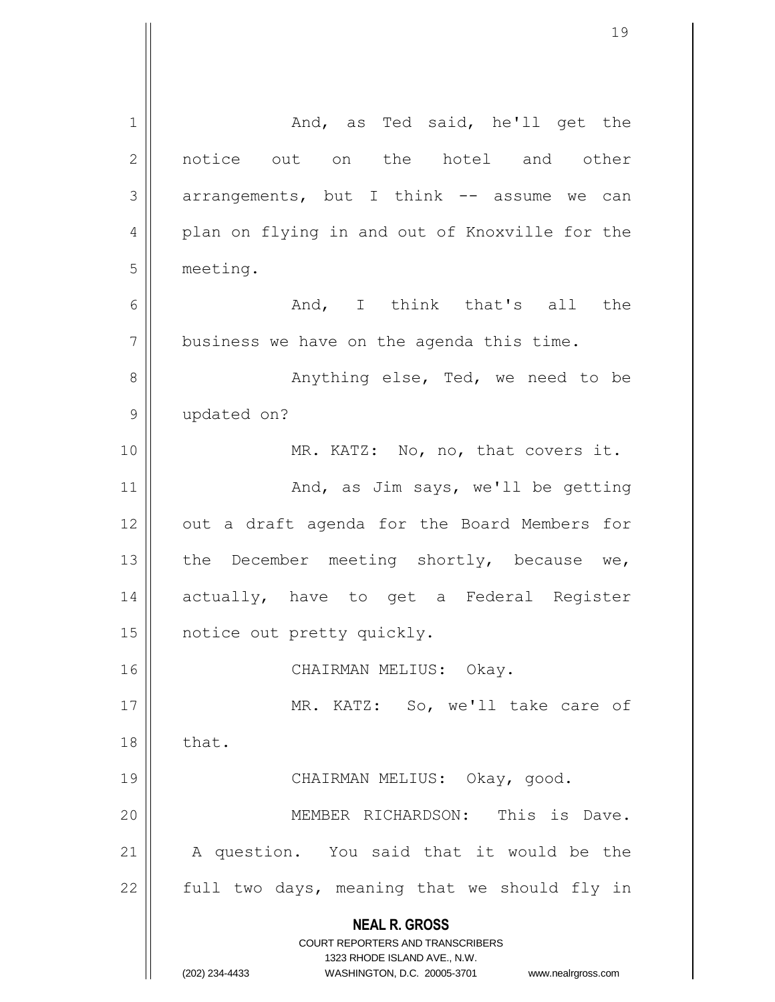| 1  | And, as Ted said, he'll get the                                     |
|----|---------------------------------------------------------------------|
| 2  | notice out on the hotel and other                                   |
| 3  | arrangements, but I think -- assume we can                          |
| 4  | plan on flying in and out of Knoxville for the                      |
| 5  | meeting.                                                            |
| 6  | And, I think that's all the                                         |
| 7  | business we have on the agenda this time.                           |
| 8  | Anything else, Ted, we need to be                                   |
| 9  | updated on?                                                         |
| 10 | MR. KATZ: No, no, that covers it.                                   |
| 11 | And, as Jim says, we'll be getting                                  |
| 12 | out a draft agenda for the Board Members for                        |
| 13 | the December meeting shortly, because we,                           |
| 14 | actually, have to get a Federal Register                            |
| 15 | notice out pretty quickly.                                          |
| 16 | CHAIRMAN MELIUS: Okay.                                              |
| 17 | MR. KATZ: So, we'll take care of                                    |
| 18 | that.                                                               |
| 19 | CHAIRMAN MELIUS: Okay, good.                                        |
| 20 | MEMBER RICHARDSON: This is Dave.                                    |
| 21 | A question. You said that it would be the                           |
| 22 | full two days, meaning that we should fly in                        |
|    | <b>NEAL R. GROSS</b><br>COURT REPORTERS AND TRANSCRIBERS            |
|    | 1323 RHODE ISLAND AVE., N.W.                                        |
|    | (202) 234-4433<br>WASHINGTON, D.C. 20005-3701<br>www.nealrgross.com |

 $\mathsf{l}$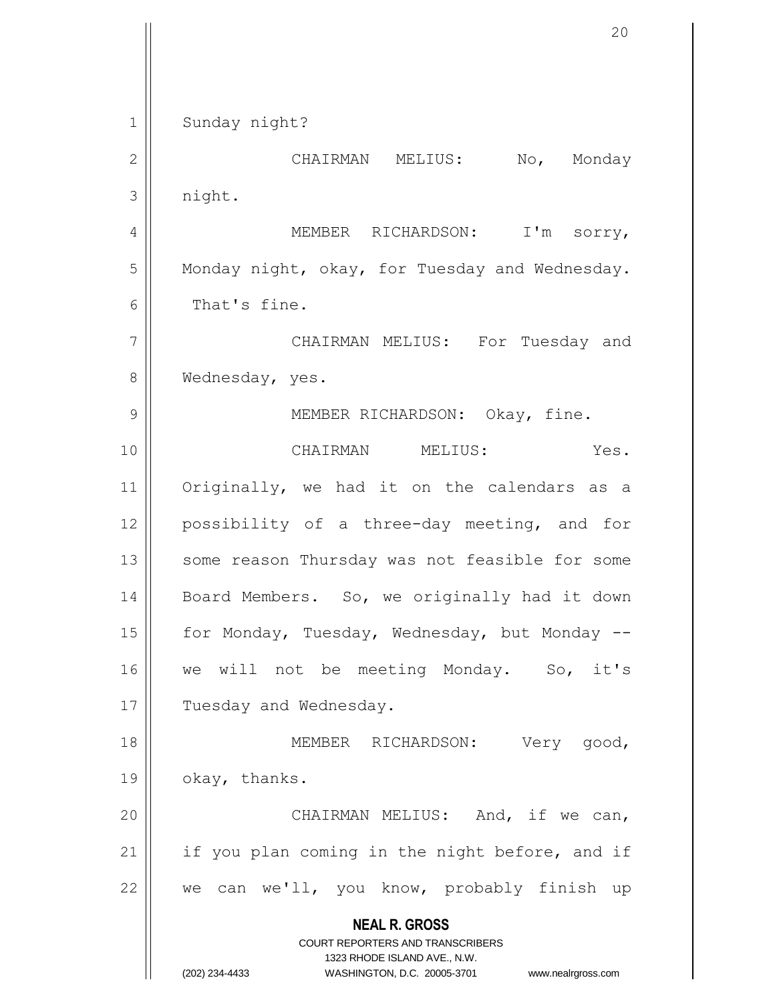**NEAL R. GROSS** COURT REPORTERS AND TRANSCRIBERS 1323 RHODE ISLAND AVE., N.W. (202) 234-4433 WASHINGTON, D.C. 20005-3701 www.nealrgross.com 1 | Sunday night? 2 CHAIRMAN MELIUS: No, Monday 3 | night. 4 | MEMBER RICHARDSON: I'm sorry,  $5$  Monday night, okay, for Tuesday and Wednesday. 6 || That's fine. 7 CHAIRMAN MELIUS: For Tuesday and 8 | Wednesday, yes. 9 || MEMBER RICHARDSON: Okay, fine. 10 CHAIRMAN MELIUS: Yes. 11 || Originally, we had it on the calendars as a 12 || possibility of a three-day meeting, and for 13 || some reason Thursday was not feasible for some 14 | Board Members. So, we originally had it down 15  $\parallel$  for Monday, Tuesday, Wednesday, but Monday --16 || we will not be meeting Monday. So, it's 17 | Tuesday and Wednesday. 18 MEMBER RICHARDSON: Very good, 19 | okay, thanks. 20 || CHAIRMAN MELIUS: And, if we can,  $21$  | if you plan coming in the night before, and if 22  $\parallel$  we can we'll, you know, probably finish up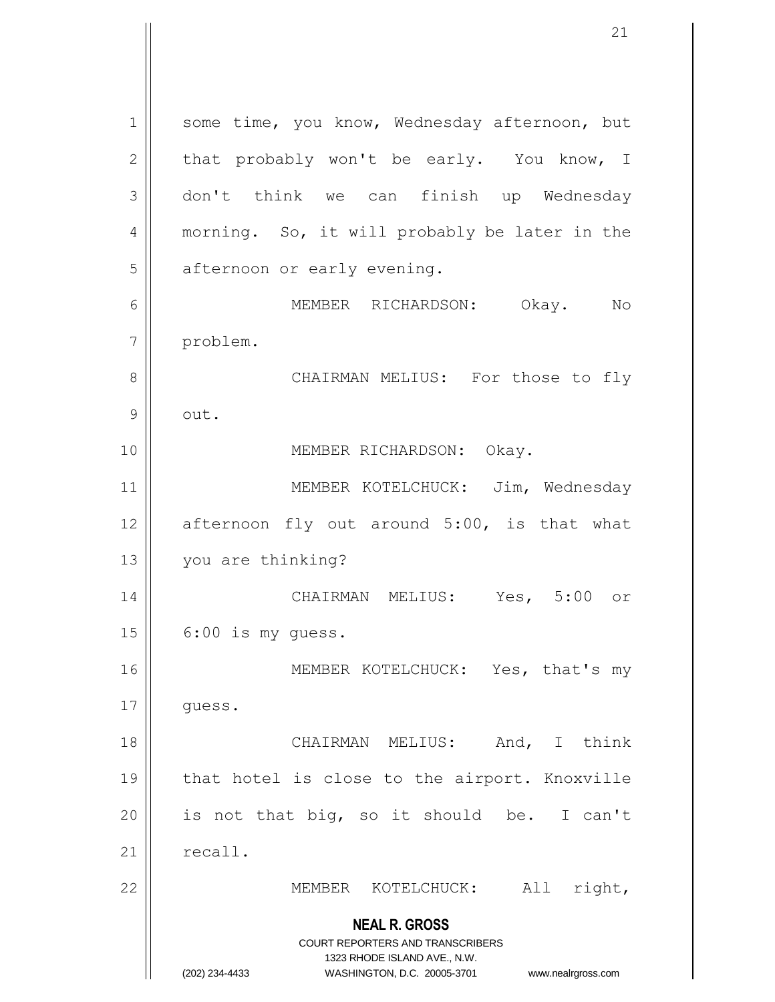**NEAL R. GROSS** COURT REPORTERS AND TRANSCRIBERS 1323 RHODE ISLAND AVE., N.W. (202) 234-4433 WASHINGTON, D.C. 20005-3701 www.nealrgross.com 1 | some time, you know, Wednesday afternoon, but  $2 \parallel$  that probably won't be early. You know, I 3 don't think we can finish up Wednesday 4 || morning. So, it will probably be later in the  $5$  || afternoon or early evening. 6 MEMBER RICHARDSON: Okay. No 7 problem. 8 CHAIRMAN MELIUS: For those to fly  $9 \parallel$  out. 10 || MEMBER RICHARDSON: Okay. 11 || MEMBER KOTELCHUCK: Jim, Wednesday 12  $\parallel$  afternoon fly out around 5:00, is that what 13 | you are thinking? 14 CHAIRMAN MELIUS: Yes, 5:00 or  $15 \parallel 6:00$  is my quess. 16 || MEMBER KOTELCHUCK: Yes, that's my 17 || guess. 18 CHAIRMAN MELIUS: And, I think 19 || that hotel is close to the airport. Knoxville 20 || is not that big, so it should be. I can't  $21$   $\parallel$  recall. 22 || MEMBER KOTELCHUCK: All right,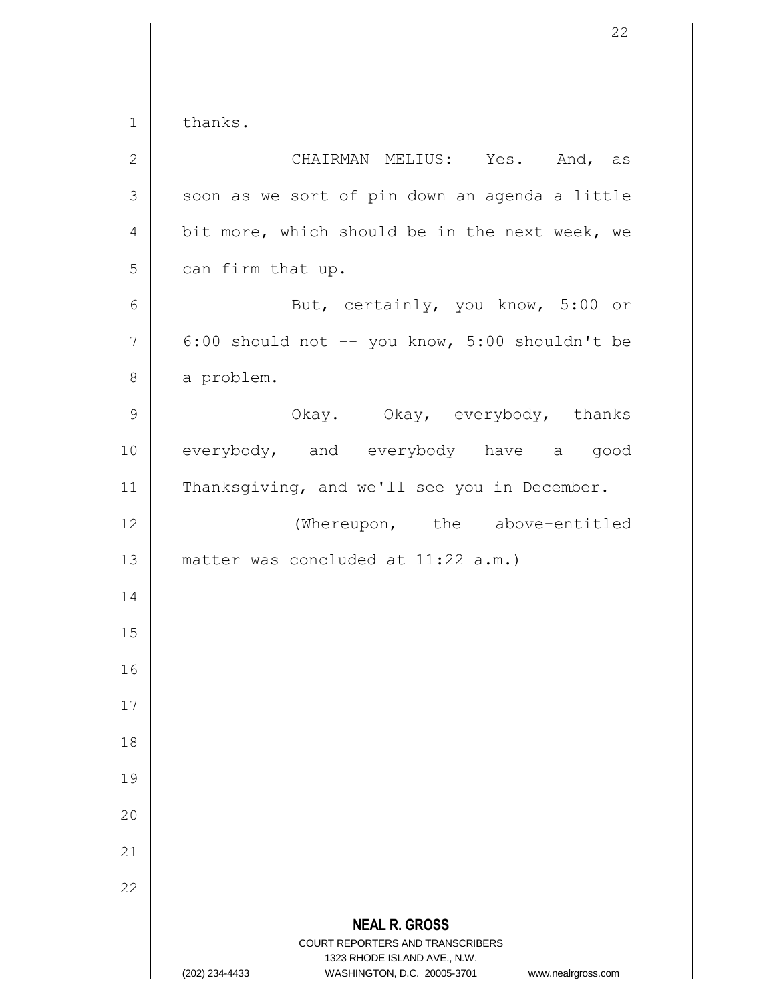$1 \parallel$  thanks.

| $\mathbf{2}$   | CHAIRMAN MELIUS: Yes. And, as                                                                   |
|----------------|-------------------------------------------------------------------------------------------------|
| 3              | soon as we sort of pin down an agenda a little                                                  |
| $\sqrt{4}$     | bit more, which should be in the next week, we                                                  |
| 5              | can firm that up.                                                                               |
| 6              | But, certainly, you know, 5:00 or                                                               |
| $\overline{7}$ | 6:00 should not -- you know, 5:00 shouldn't be                                                  |
| $\,8\,$        | a problem.                                                                                      |
| $\mathsf 9$    | Okay. Okay, everybody, thanks                                                                   |
| 10             | everybody, and everybody have a good                                                            |
| 11             | Thanksgiving, and we'll see you in December.                                                    |
| 12             | (Whereupon, the above-entitled                                                                  |
| 13             | matter was concluded at 11:22 a.m.)                                                             |
| 14             |                                                                                                 |
| 15             |                                                                                                 |
| 16             |                                                                                                 |
| 17             |                                                                                                 |
| 18             |                                                                                                 |
| 19             |                                                                                                 |
| 20             |                                                                                                 |
| 21             |                                                                                                 |
| 22             |                                                                                                 |
|                | <b>NEAL R. GROSS</b><br><b>COURT REPORTERS AND TRANSCRIBERS</b><br>1323 RHODE ISLAND AVE., N.W. |
|                | (202) 234-4433<br>WASHINGTON, D.C. 20005-3701<br>www.nealrgross.com                             |